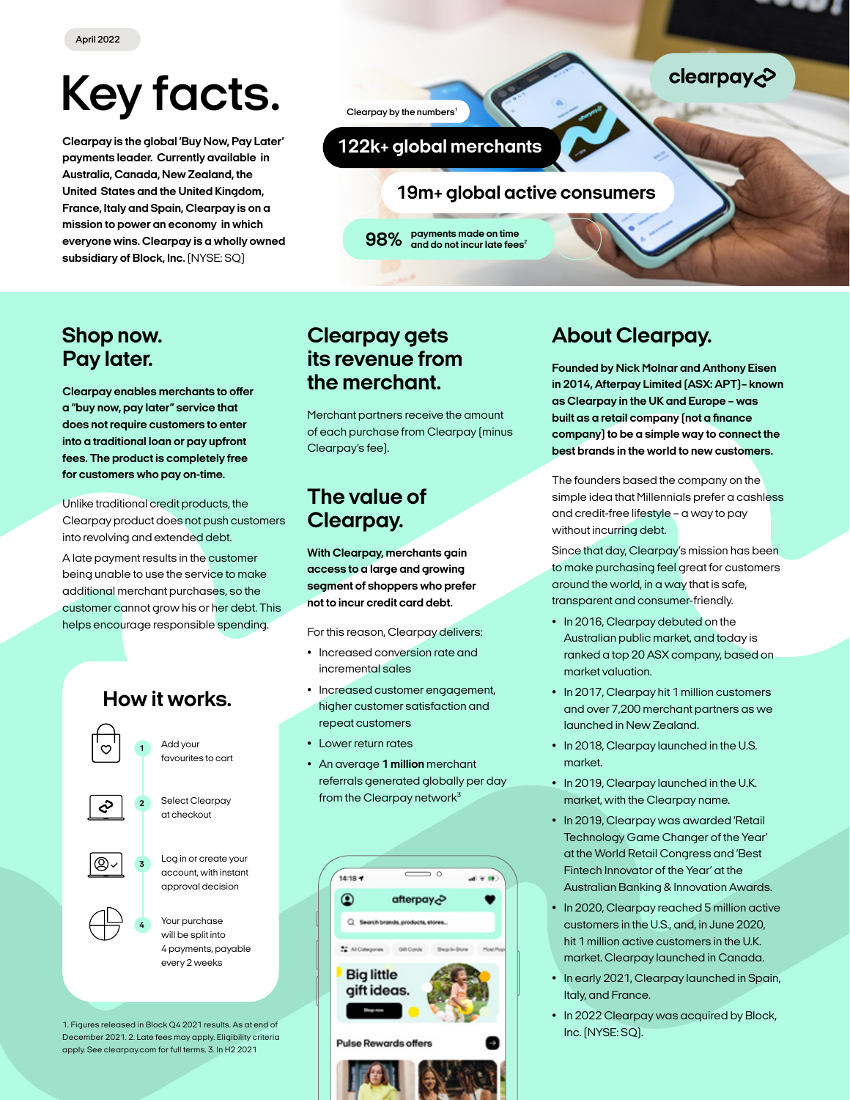# *Key facts.*

*Clearpay is the global 'Buy Now, Pay Later' payments leader. Currently available in Australia, Canada, New Zealand, the United States and the United Kingdom, France, Italy and Spain, Clearpay is on a mission to power an economy in which everyone wins. Clearpay is a wholly owned subsidiary of Block, Inc. (NYSE: SQ)*

*Clearpay by the numbers1*

#### *122k+ global merchants*

*19m+ global active consumers*

*payments made on time 98% and do not incur late fees<sup>2</sup>*

#### *Shop now. Pay later.*

*Clearpay enables merchants to offer a "buy now, pay later" service that does not require customers to enter into a traditional loan or pay upfront fees. The product is completely free for customers who pay on-time.*

*Unlike traditional credit products, the Clearpay product does not push customers into revolving and extended debt.*

*A late payment results in the customer being unable to use the service to make additional merchant purchases, so the customer cannot grow his or her debt. This helps encourage responsible spending.*

## *How it works.*



*1. Figures released in Block Q4 2021 results. As at end of December 2021. 2. Late fees may apply. Eligibility criteria apply. See clearpay.com for full terms. 3. In H2 2021*

*Clearpay gets its revenue from the merchant.*

*Merchant partners receive the amount of each purchase from Clearpay (minus Clearpay's fee).*

### *The value of Clearpay.*

*With Clearpay, merchants gain access to a large and growing segment of shoppers who prefer not to incur credit card debt.*

*For this reason, Clearpay delivers:*

- *• Increased conversion rate and incremental sales*
- *• Increased customer engagement, higher customer satisfaction and repeat customers*
- *• Lower return rates*
- *• An average 1 million merchant referrals generated globally per day from the Clearpay network3*



## *About Clearpay.*

*Founded by Nick Molnar and Anthony Eisen in 2014, Afterpay Limited (ASX: APT)– known as Clearpay in the UK and Europe – was built as a retail company (not a finance company) to be a simple way to connect the best brands in the world to new customers.*

clearpay<sub>c</sub>

*The founders based the company on the simple idea that Millennials prefer a cashless and credit-free lifestyle – a way to pay without incurring debt.*

*Since that day, Clearpay's mission has been to make purchasing feel great for customers around the world, in a way that is safe, transparent and consumer-friendly.*

- *• In 2016, Clearpay debuted on the Australian public market, and today is ranked a top 20 ASX company, based on market valuation.*
- *• In 2017, Clearpay hit 1 million customers and over 7,200 merchant partners as we launched in New Zealand.*
- *• In 2018, Clearpay launched in the U.S. market.*
- *• In 2019, Clearpay launched in the U.K. market, with the Clearpay name.*
- *• In 2019, Clearpay was awarded 'Retail Technology Game Changer of the Year' at the World Retail Congress and 'Best Fintech Innovator of the Year' at the Australian Banking & Innovation Awards.*
- *• In 2020, Clearpay reached 5 million active customers in the U.S., and, in June 2020, hit 1 million active customers in the U.K. market. Clearpay launched in Canada.*
- *• In early 2021, Clearpay launched in Spain, Italy, and France.*
- *• In 2022 Clearpay was acquired by Block, Inc. (NYSE: SQ).*